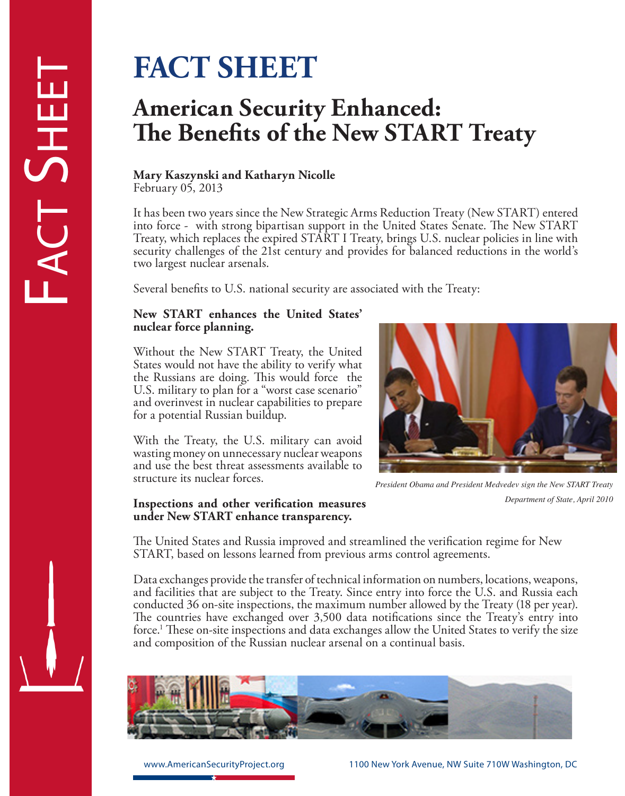# **FACT SHEET**

## **American Security Enhanced: The Benefits of the New START Treaty**

### **Mary Kaszynski and Katharyn Nicolle**

February 05, 2013

It has been two years since the New Strategic Arms Reduction Treaty (New START) entered into force - with strong bipartisan support in the United States Senate. The New START Treaty, which replaces the expired START I Treaty, brings U.S. nuclear policies in line with security challenges of the 21st century and provides for balanced reductions in the world's two largest nuclear arsenals.

Several benefits to U.S. national security are associated with the Treaty:

#### **New START enhances the United States' nuclear force planning.**

Without the New START Treaty, the United States would not have the ability to verify what the Russians are doing. This would force the U.S. military to plan for a "worst case scenario" and overinvest in nuclear capabilities to prepare for a potential Russian buildup.

With the Treaty, the U.S. military can avoid wasting money on unnecessary nuclear weapons and use the best threat assessments available to structure its nuclear forces.

#### **Inspections and other verification measures under New START enhance transparency.**



*President Obama and President Medvedev sign the New START Treaty Department of State, April 2010*

The United States and Russia improved and streamlined the verification regime for New START, based on lessons learned from previous arms control agreements.

Data exchanges provide the transfer of technical information on numbers, locations, weapons, and facilities that are subject to the Treaty. Since entry into force the U.S. and Russia each conducted 36 on-site inspections, the maximum number allowed by the Treaty (18 per year). The countries have exchanged over 3,500 data notifications since the Treaty's entry into force.1 These on-site inspections and data exchanges allow the United States to verify the size and composition of the Russian nuclear arsenal on a continual basis.

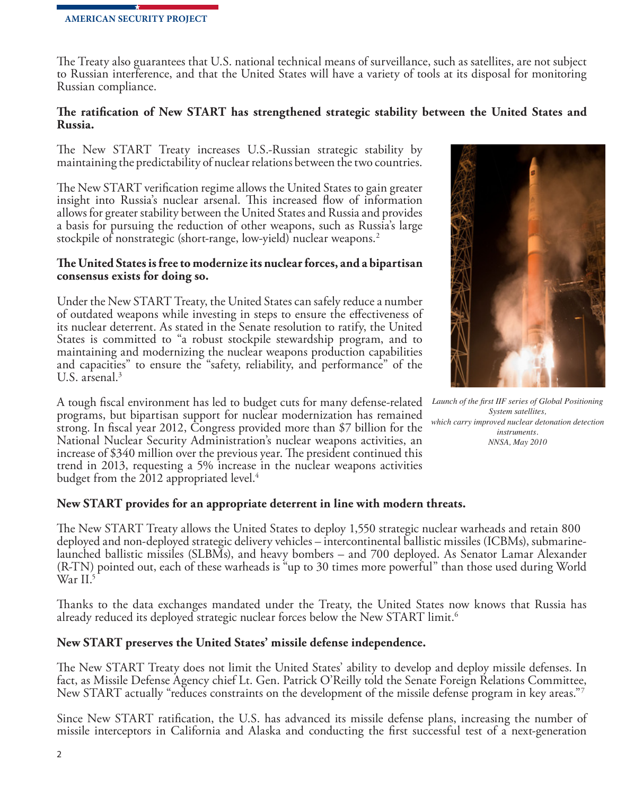

The Treaty also guarantees that U.S. national technical means of surveillance, such as satellites, are not subject to Russian interference, and that the United States will have a variety of tools at its disposal for monitoring Russian compliance.

#### **The ratification of New START has strengthened strategic stability between the United States and Russia.**

The New START Treaty increases U.S.-Russian strategic stability by maintaining the predictability of nuclear relations between the two countries.

The New START verification regime allows the United States to gain greater insight into Russia's nuclear arsenal. This increased flow of information allows for greater stability between the United States and Russia and provides a basis for pursuing the reduction of other weapons, such as Russia's large stockpile of nonstrategic (short-range, low-yield) nuclear weapons.<sup>2</sup>

#### **The United States is free to modernize its nuclear forces, and a bipartisan consensus exists for doing so.**

Under the New START Treaty, the United States can safely reduce a number of outdated weapons while investing in steps to ensure the effectiveness of its nuclear deterrent. As stated in the Senate resolution to ratify, the United States is committed to "a robust stockpile stewardship program, and to maintaining and modernizing the nuclear weapons production capabilities and capacities" to ensure the "safety, reliability, and performance" of the U.S. arsenal. $3$ 

A tough fiscal environment has led to budget cuts for many defense-related programs, but bipartisan support for nuclear modernization has remained strong. In fiscal year 2012, Congress provided more than \$7 billion for the National Nuclear Security Administration's nuclear weapons activities, an increase of \$340 million over the previous year. The president continued this trend in 2013, requesting a 5% increase in the nuclear weapons activities budget from the 2012 appropriated level.<sup>4</sup>



*Launch of the first IIF series of Global Positioning System satellites, which carry improved nuclear detonation detection instruments. NNSA, May 2010*

#### **New START provides for an appropriate deterrent in line with modern threats.**

The New START Treaty allows the United States to deploy 1,550 strategic nuclear warheads and retain 800 deployed and non-deployed strategic delivery vehicles – intercontinental ballistic missiles (ICBMs), submarinelaunched ballistic missiles (SLBMs), and heavy bombers – and 700 deployed. As Senator Lamar Alexander (R-TN) pointed out, each of these warheads is "up to 30 times more powerful" than those used during World War II.<sup>5</sup>

Thanks to the data exchanges mandated under the Treaty, the United States now knows that Russia has already reduced its deployed strategic nuclear forces below the New START limit.<sup>6</sup>

#### **New START preserves the United States' missile defense independence.**

The New START Treaty does not limit the United States' ability to develop and deploy missile defenses. In fact, as Missile Defense Agency chief Lt. Gen. Patrick O'Reilly told the Senate Foreign Relations Committee, New START actually "reduces constraints on the development of the missile defense program in key areas."7

Since New START ratification, the U.S. has advanced its missile defense plans, increasing the number of missile interceptors in California and Alaska and conducting the first successful test of a next-generation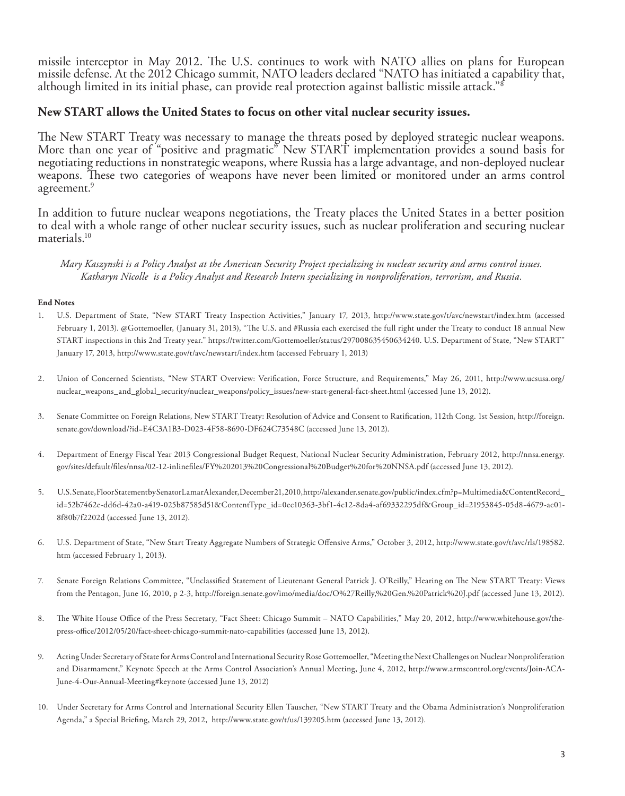missile interceptor in May 2012. The U.S. continues to work with NATO allies on plans for European missile defense. At the 2012 Chicago summit, NATO leaders declared "NATO has initiated a capability that, although limited in its initial phase, can provide real protection against ballistic missile attack."8

#### **New START allows the United States to focus on other vital nuclear security issues.**

The New START Treaty was necessary to manage the threats posed by deployed strategic nuclear weapons. More than one year of "positive and pragmatic" New START implementation provides a sound basis for negotiating reductions in nonstrategic weapons, where Russia has a large advantage, and non-deployed nuclear weapons. These two categories of weapons have never been limited or monitored under an arms control agreement.<sup>9</sup>

In addition to future nuclear weapons negotiations, the Treaty places the United States in a better position to deal with a whole range of other nuclear security issues, such as nuclear proliferation and securing nuclear materials.10

*Mary Kaszynski is a Policy Analyst at the American Security Project specializing in nuclear security and arms control issues. Katharyn Nicolle is a Policy Analyst and Research Intern specializing in nonproliferation, terrorism, and Russia.*

#### **End Notes**

- 1. U.S. Department of State, "New START Treaty Inspection Activities," January 17, 2013, http://www.state.gov/t/avc/newstart/index.htm (accessed February 1, 2013). @Gottemoeller, (January 31, 2013), "The U.S. and #Russia each exercised the full right under the Treaty to conduct 18 annual New START inspections in this 2nd Treaty year." https://twitter.com/Gottemoeller/status/297008635450634240. U.S. Department of State, "New START" January 17, 2013, http://www.state.gov/t/avc/newstart/index.htm (accessed February 1, 2013)
- 2. Union of Concerned Scientists, "New START Overview: Verification, Force Structure, and Requirements," May 26, 2011, http://www.ucsusa.org/ nuclear\_weapons\_and\_global\_security/nuclear\_weapons/policy\_issues/new-start-general-fact-sheet.html (accessed June 13, 2012).
- 3. Senate Committee on Foreign Relations, New START Treaty: Resolution of Advice and Consent to Ratification, 112th Cong. 1st Session, http://foreign. senate.gov/download/?id=E4C3A1B3-D023-4F58-8690-DF624C73548C (accessed June 13, 2012).
- 4. Department of Energy Fiscal Year 2013 Congressional Budget Request, National Nuclear Security Administration, February 2012, http://nnsa.energy. gov/sites/default/files/nnsa/02-12-inlinefiles/FY%202013%20Congressional%20Budget%20for%20NNSA.pdf (accessed June 13, 2012).
- 5. U.S. Senate, Floor Statement by Senator Lamar Alexander, December 21, 2010, http://alexander.senate.gov/public/index.cfm?p=Multimedia&ContentRecord\_ id=52b7462e-dd6d-42a0-a419-025b87585d51&ContentType\_id=0ec10363-3bf1-4c12-8da4-af69332295df&Group\_id=21953845-05d8-4679-ac01- 8f80b7f2202d (accessed June 13, 2012).
- 6. U.S. Department of State, "New Start Treaty Aggregate Numbers of Strategic Offensive Arms," October 3, 2012, http://www.state.gov/t/avc/rls/198582. htm (accessed February 1, 2013).
- 7. Senate Foreign Relations Committee, "Unclassified Statement of Lieutenant General Patrick J. O'Reilly," Hearing on The New START Treaty: Views from the Pentagon, June 16, 2010, p 2-3, http://foreign.senate.gov/imo/media/doc/O%27Reilly,%20Gen.%20Patrick%20J.pdf (accessed June 13, 2012).
- 8. The White House Office of the Press Secretary, "Fact Sheet: Chicago Summit NATO Capabilities," May 20, 2012, http://www.whitehouse.gov/thepress-office/2012/05/20/fact-sheet-chicago-summit-nato-capabilities (accessed June 13, 2012).
- 9. Acting Under Secretary of State for Arms Control and International Security Rose Gottemoeller, "Meeting the Next Challenges on Nuclear Nonproliferation and Disarmament," Keynote Speech at the Arms Control Association's Annual Meeting, June 4, 2012, http://www.armscontrol.org/events/Join-ACA-June-4-Our-Annual-Meeting#keynote (accessed June 13, 2012)
- 10. Under Secretary for Arms Control and International Security Ellen Tauscher, "New START Treaty and the Obama Administration's Nonproliferation Agenda," a Special Briefing, March 29, 2012, http://www.state.gov/t/us/139205.htm (accessed June 13, 2012).